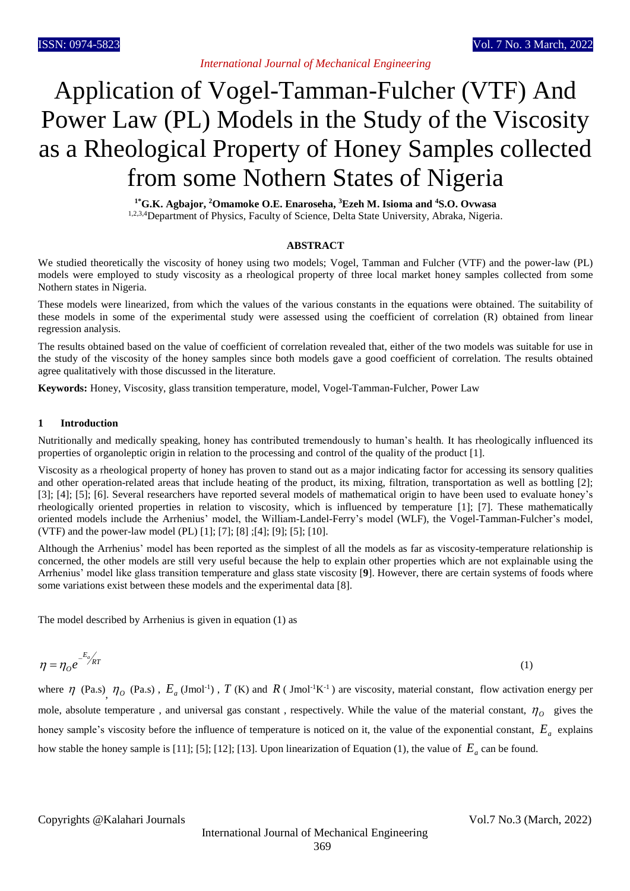# Application of Vogel-Tamman-Fulcher (VTF) And Power Law (PL) Models in the Study of the Viscosity as a Rheological Property of Honey Samples collected from some Nothern States of Nigeria

**1\*G.K. Agbajor, <sup>2</sup>Omamoke O.E. Enaroseha, <sup>3</sup>Ezeh M. Isioma and <sup>4</sup>S.O. Ovwasa** 1,2,3,4Department of Physics, Faculty of Science, Delta State University, Abraka, Nigeria.

## **ABSTRACT**

We studied theoretically the viscosity of honey using two models; Vogel, Tamman and Fulcher (VTF) and the power-law (PL) models were employed to study viscosity as a rheological property of three local market honey samples collected from some Nothern states in Nigeria.

These models were linearized, from which the values of the various constants in the equations were obtained. The suitability of these models in some of the experimental study were assessed using the coefficient of correlation (R) obtained from linear regression analysis.

The results obtained based on the value of coefficient of correlation revealed that, either of the two models was suitable for use in the study of the viscosity of the honey samples since both models gave a good coefficient of correlation. The results obtained agree qualitatively with those discussed in the literature.

**Keywords:** Honey, Viscosity, glass transition temperature, model, Vogel-Tamman-Fulcher, Power Law

# **1 Introduction**

Nutritionally and medically speaking, honey has contributed tremendously to human's health. It has rheologically influenced its properties of organoleptic origin in relation to the processing and control of the quality of the product [1].

Viscosity as a rheological property of honey has proven to stand out as a major indicating factor for accessing its sensory qualities and other operation-related areas that include heating of the product, its mixing, filtration, transportation as well as bottling [2]; [3]; [4]; [5]; [6]. Several researchers have reported several models of mathematical origin to have been used to evaluate honey's rheologically oriented properties in relation to viscosity, which is influenced by temperature [1]; [7]. These mathematically oriented models include the Arrhenius' model, the William-Landel-Ferry's model (WLF), the Vogel-Tamman-Fulcher's model, (VTF) and the power-law model (PL) [1]; [7]; [8] ;[4]; [9]; [5]; [10].

Although the Arrhenius' model has been reported as the simplest of all the models as far as viscosity-temperature relationship is concerned, the other models are still very useful because the help to explain other properties which are not explainable using the Arrhenius' model like glass transition temperature and glass state viscosity [**9**]. However, there are certain systems of foods where some variations exist between these models and the experimental data [8].

The model described by Arrhenius is given in equation (1) as

$$
\eta = \eta_o e^{-E_a/\kappa} \tag{1}
$$

where  $\eta$  (Pa.s),  $\eta_o$  (Pa.s),  $E_a$  (Jmol<sup>-1</sup>),  $T$  (K) and  $R$  (Jmol<sup>-1</sup>K<sup>-1</sup>) are viscosity, material constant, flow activation energy per mole, absolute temperature, and universal gas constant, respectively. While the value of the material constant,  $\eta_0$  gives the honey sample's viscosity before the influence of temperature is noticed on it, the value of the exponential constant, *E<sup>a</sup>* explains how stable the honey sample is [11]; [5]; [12]; [13]. Upon linearization of Equation (1), the value of *Ea* can be found.

Copyrights @Kalahari Journals Vol.7 No.3 (March, 2022)

International Journal of Mechanical Engineering 369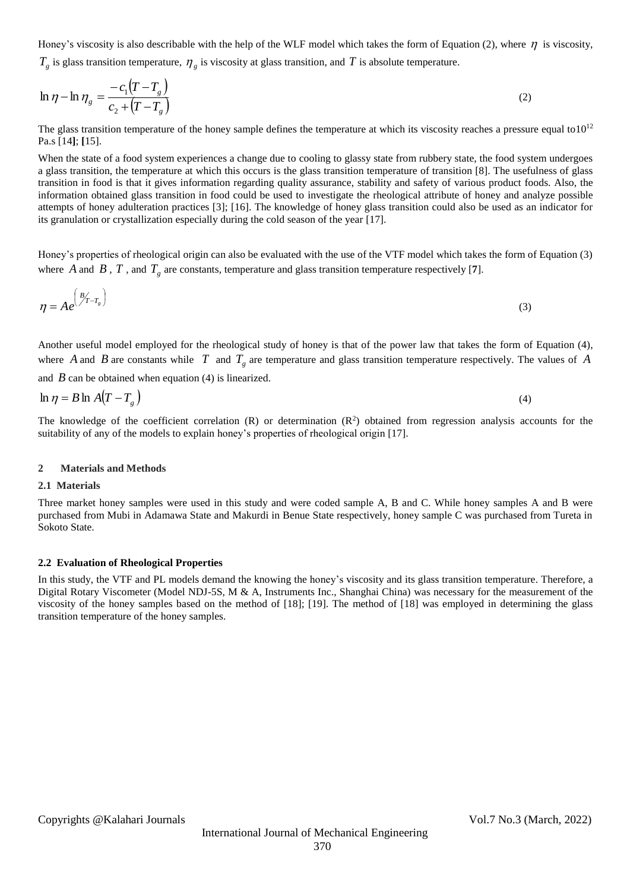Honey's viscosity is also describable with the help of the WLF model which takes the form of Equation (2), where  $\eta$  is viscosity,

 $T_g$  is glass transition temperature,  $\eta_g$  is viscosity at glass transition, and T is absolute temperature.

$$
\ln \eta - \ln \eta_g = \frac{-c_1 (T - T_g)}{c_2 + (T - T_g)}\tag{2}
$$

The glass transition temperature of the honey sample defines the temperature at which its viscosity reaches a pressure equal to  $10^{12}$ Pa.s [14**]**; **[**15].

When the state of a food system experiences a change due to cooling to glassy state from rubbery state, the food system undergoes a glass transition, the temperature at which this occurs is the glass transition temperature of transition [8]. The usefulness of glass transition in food is that it gives information regarding quality assurance, stability and safety of various product foods. Also, the information obtained glass transition in food could be used to investigate the rheological attribute of honey and analyze possible attempts of honey adulteration practices [3]; [16]. The knowledge of honey glass transition could also be used as an indicator for its granulation or crystallization especially during the cold season of the year [17].

Honey's properties of rheological origin can also be evaluated with the use of the VTF model which takes the form of Equation (3) where A and B, T, and  $T_g$  are constants, temperature and glass transition temperature respectively [7].

$$
\eta = Ae^{\left(\frac{B}{T}-T_g\right)} \tag{3}
$$

Another useful model employed for the rheological study of honey is that of the power law that takes the form of Equation (4), where A and B are constants while T and  $T_g$  are temperature and glass transition temperature respectively. The values of A

and  $\hat{B}$  can be obtained when equation (4) is linearized.

$$
\ln \eta = B \ln A (T - T_s) \tag{4}
$$

The knowledge of the coefficient correlation  $(R)$  or determination  $(R^2)$  obtained from regression analysis accounts for the suitability of any of the models to explain honey's properties of rheological origin [17].

#### **2 Materials and Methods**

#### **2.1 Materials**

Three market honey samples were used in this study and were coded sample A, B and C. While honey samples A and B were purchased from Mubi in Adamawa State and Makurdi in Benue State respectively, honey sample C was purchased from Tureta in Sokoto State.

## **2.2 Evaluation of Rheological Properties**

In this study, the VTF and PL models demand the knowing the honey's viscosity and its glass transition temperature. Therefore, a Digital Rotary Viscometer (Model NDJ-5S, M & A, Instruments Inc., Shanghai China) was necessary for the measurement of the viscosity of the honey samples based on the method of [18]; [19]. The method of [18] was employed in determining the glass transition temperature of the honey samples.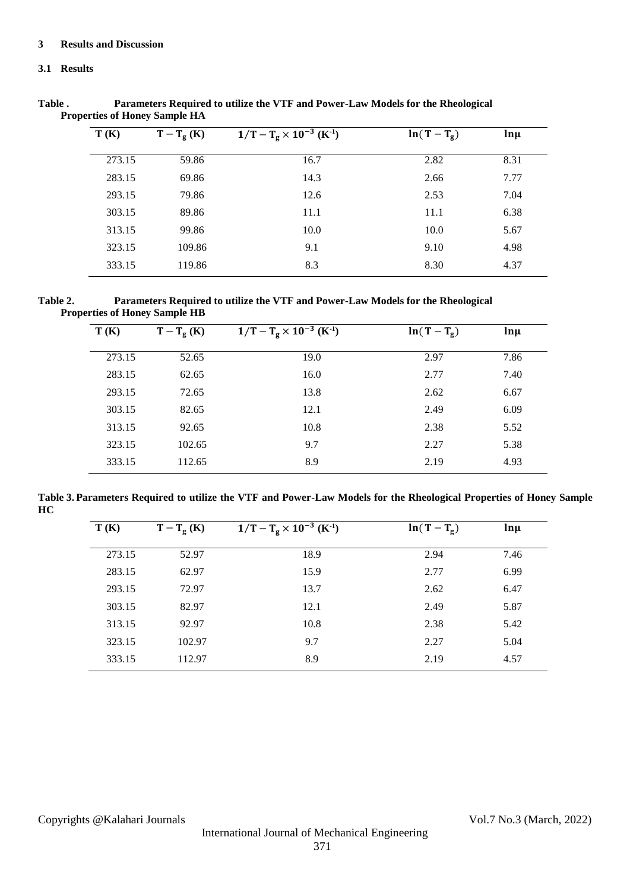# **3 Results and Discussion**

# **3.1 Results**

| T(K)<br>$T-T_g(K)$ |        | $1/T - T_g \times 10^{-3}$ (K <sup>-1</sup> ) | $ln(T-T_g)$ | $ln \mu$ |  |
|--------------------|--------|-----------------------------------------------|-------------|----------|--|
| 273.15             | 59.86  | 16.7                                          | 2.82        | 8.31     |  |
| 283.15             | 69.86  | 14.3                                          | 2.66        | 7.77     |  |
| 293.15             | 79.86  | 12.6                                          | 2.53        | 7.04     |  |
| 303.15             | 89.86  | 11.1                                          | 11.1        | 6.38     |  |
| 313.15             | 99.86  | 10.0                                          | 10.0        | 5.67     |  |
| 323.15             | 109.86 | 9.1                                           | 9.10        | 4.98     |  |
| 333.15             | 119.86 | 8.3                                           | 8.30        | 4.37     |  |
|                    |        |                                               |             |          |  |

**Table . Parameters Required to utilize the VTF and Power-Law Models for the Rheological Properties of Honey Sample HA**

**Table 2. Parameters Required to utilize the VTF and Power-Law Models for the Rheological Properties of Honey Sample HB**

| T(K)   | $T-T_g(K)$ | $1/T - T_g \times 10^{-3}$ (K <sup>-1</sup> ) | $ln(T-T_g)$ | $ln \mu$ |
|--------|------------|-----------------------------------------------|-------------|----------|
| 273.15 | 52.65      | 19.0                                          | 2.97        | 7.86     |
| 283.15 | 62.65      | 16.0                                          | 2.77        | 7.40     |
| 293.15 | 72.65      | 13.8                                          | 2.62        | 6.67     |
| 303.15 | 82.65      | 12.1                                          | 2.49        | 6.09     |
| 313.15 | 92.65      | 10.8                                          | 2.38        | 5.52     |
| 323.15 | 102.65     | 9.7                                           | 2.27        | 5.38     |
| 333.15 | 112.65     | 8.9                                           | 2.19        | 4.93     |

**Table 3. Parameters Required to utilize the VTF and Power-Law Models for the Rheological Properties of Honey Sample HC**

| T(K)   | $T-T_g(K)$ | $1/T - T_g \times 10^{-3}$ (K <sup>-1</sup> ) | $ln(T-T_g)$ | $ln \mu$ |  |
|--------|------------|-----------------------------------------------|-------------|----------|--|
| 273.15 | 52.97      | 18.9                                          | 2.94        | 7.46     |  |
| 283.15 | 62.97      | 15.9                                          | 2.77        | 6.99     |  |
| 293.15 | 72.97      | 13.7                                          | 2.62        | 6.47     |  |
| 303.15 | 82.97      | 12.1                                          | 2.49        | 5.87     |  |
| 313.15 | 92.97      | 10.8                                          | 2.38        | 5.42     |  |
| 323.15 | 102.97     | 9.7                                           | 2.27        | 5.04     |  |
| 333.15 | 112.97     | 8.9                                           | 2.19        | 4.57     |  |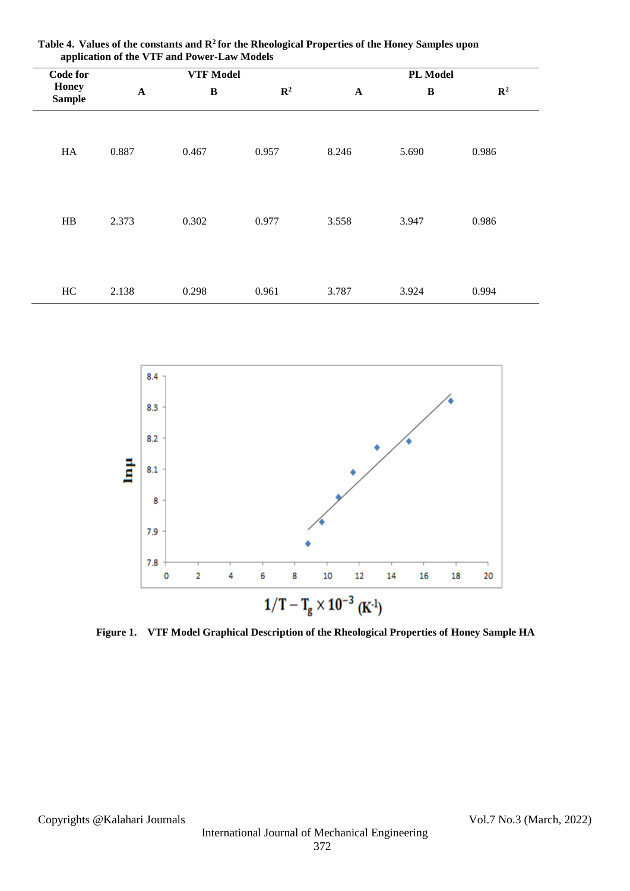|                               | -- 1- 1-         |              |                |                       |              |                |  |
|-------------------------------|------------------|--------------|----------------|-----------------------|--------------|----------------|--|
| <b>Code for</b>               | <b>VTF</b> Model |              |                |                       | PL Model     |                |  |
| <b>Honey</b><br><b>Sample</b> | $\mathbf A$      | $\, {\bf B}$ | $\mathbb{R}^2$ | $\boldsymbol{\rm{A}}$ | $\, {\bf B}$ | $\mathbb{R}^2$ |  |
| HA                            | 0.887            | 0.467        | 0.957          | 8.246                 | 5.690        | 0.986          |  |
| $\rm HB$                      | 2.373            | 0.302        | 0.977          | 3.558                 | 3.947        | 0.986          |  |
| HC                            | 2.138            | 0.298        | 0.961          | 3.787                 | 3.924        | 0.994          |  |

**Table 4. Values of the constants and R<sup>2</sup>for the Rheological Properties of the Honey Samples upon application of the VTF and Power-Law Models** 



**Figure 1. VTF Model Graphical Description of the Rheological Properties of Honey Sample HA**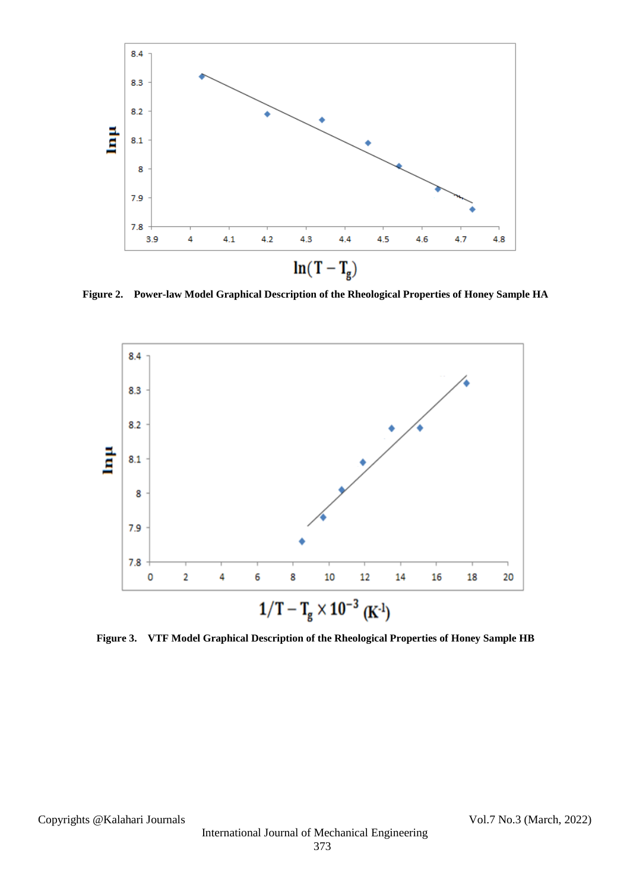

**Figure 2. Power-law Model Graphical Description of the Rheological Properties of Honey Sample HA**



**Figure 3. VTF Model Graphical Description of the Rheological Properties of Honey Sample HB**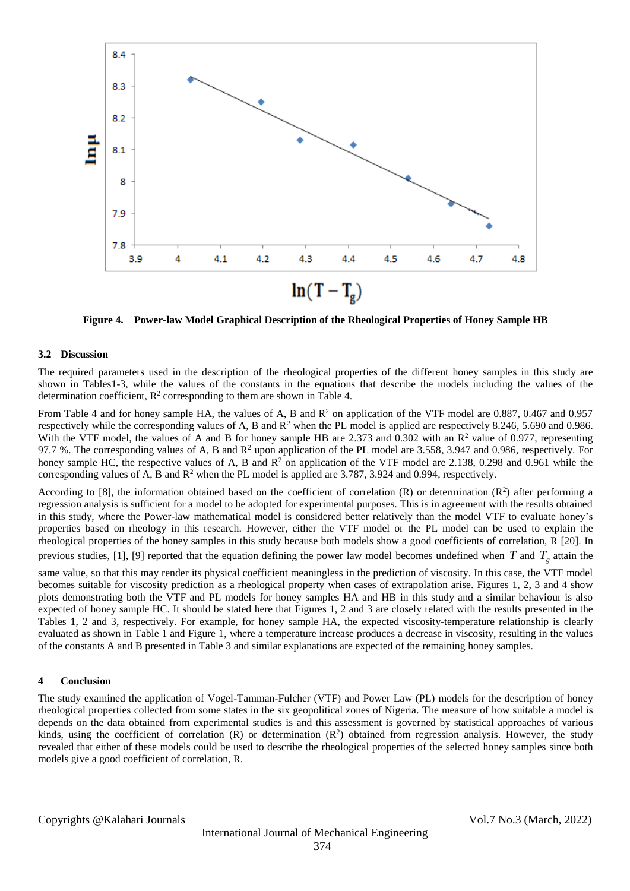

**Figure 4. Power-law Model Graphical Description of the Rheological Properties of Honey Sample HB**

## **3.2 Discussion**

The required parameters used in the description of the rheological properties of the different honey samples in this study are shown in Tables1-3, while the values of the constants in the equations that describe the models including the values of the determination coefficient,  $\mathbb{R}^2$  corresponding to them are shown in Table 4.

From Table 4 and for honey sample HA, the values of A, B and  $R^2$  on application of the VTF model are 0.887, 0.467 and 0.957 respectively while the corresponding values of A, B and R<sup>2</sup> when the PL model is applied are respectively 8.246, 5.690 and 0.986. With the VTF model, the values of A and B for honey sample HB are 2.373 and 0.302 with an  $\mathbb{R}^2$  value of 0.977, representing 97.7 %. The corresponding values of A, B and  $\mathbb{R}^2$  upon application of the PL model are 3.558, 3.947 and 0.986, respectively. For honey sample HC, the respective values of A, B and  $\mathbb{R}^2$  on application of the VTF model are 2.138, 0.298 and 0.961 while the corresponding values of A, B and  $\mathbb{R}^2$  when the PL model is applied are 3.787, 3.924 and 0.994, respectively.

According to [8], the information obtained based on the coefficient of correlation (R) or determination ( $\mathbb{R}^2$ ) after performing a regression analysis is sufficient for a model to be adopted for experimental purposes. This is in agreement with the results obtained in this study, where the Power-law mathematical model is considered better relatively than the model VTF to evaluate honey's properties based on rheology in this research. However, either the VTF model or the PL model can be used to explain the rheological properties of the honey samples in this study because both models show a good coefficients of correlation, R [20]. In

previous studies, [1], [9] reported that the equation defining the power law model becomes undefined when  $T$  and  $T_g$  attain the

same value, so that this may render its physical coefficient meaningless in the prediction of viscosity. In this case, the VTF model becomes suitable for viscosity prediction as a rheological property when cases of extrapolation arise. Figures 1, 2, 3 and 4 show plots demonstrating both the VTF and PL models for honey samples HA and HB in this study and a similar behaviour is also expected of honey sample HC. It should be stated here that Figures 1, 2 and 3 are closely related with the results presented in the Tables 1, 2 and 3, respectively. For example, for honey sample HA, the expected viscosity-temperature relationship is clearly evaluated as shown in Table 1 and Figure 1, where a temperature increase produces a decrease in viscosity, resulting in the values of the constants A and B presented in Table 3 and similar explanations are expected of the remaining honey samples.

## **4 Conclusion**

The study examined the application of Vogel-Tamman-Fulcher (VTF) and Power Law (PL) models for the description of honey rheological properties collected from some states in the six geopolitical zones of Nigeria. The measure of how suitable a model is depends on the data obtained from experimental studies is and this assessment is governed by statistical approaches of various kinds, using the coefficient of correlation  $(R)$  or determination  $(R^2)$  obtained from regression analysis. However, the study revealed that either of these models could be used to describe the rheological properties of the selected honey samples since both models give a good coefficient of correlation, R.